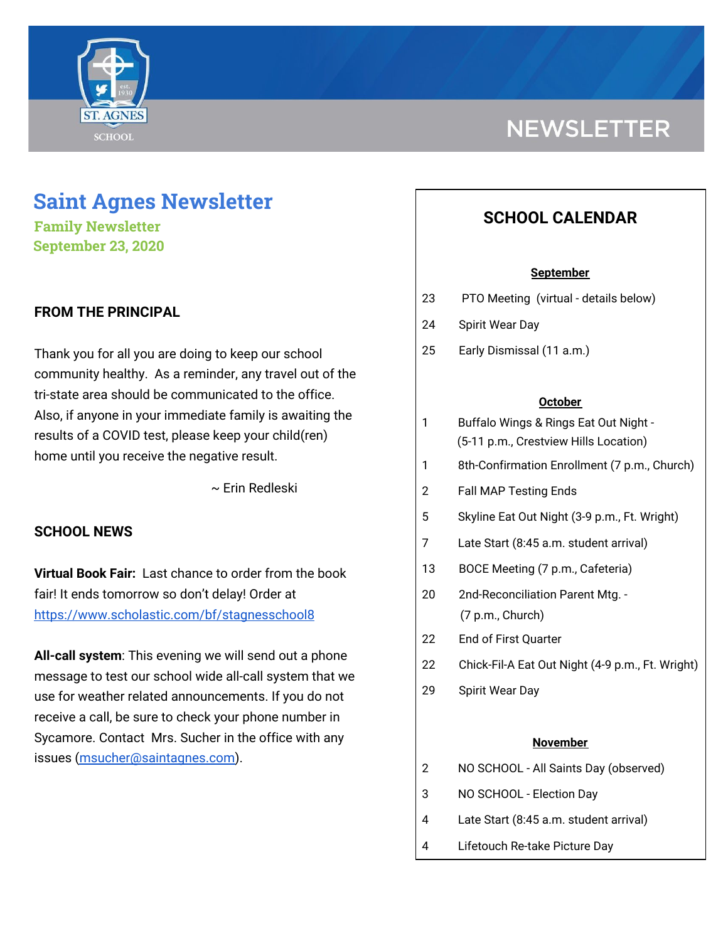

# **NEWSLETTER**

## **Saint Agnes Newsletter**

**Family Newsletter September 23, 2020**

## **FROM THE PRINCIPAL**

Thank you for all you are doing to keep our school community healthy. As a reminder, any travel out of the tri-state area should be communicated to the office. Also, if anyone in your immediate family is awaiting the results of a COVID test, please keep your child(ren) home until you receive the negative result.

~ Erin Redleski

## **SCHOOL NEWS**

**Virtual Book Fair:** Last chance to order from the book fair! It ends tomorrow so don't delay! Order at <https://www.scholastic.com/bf/stagnesschool8>

**All-call system**: This evening we will send out a phone message to test our school wide all-call system that we use for weather related announcements. If you do not receive a call, be sure to check your phone number in Sycamore. Contact Mrs. Sucher in the office with any issues ([msucher@saintagnes.com\)](mailto:msucher@saintagnes.com).

## **SCHOOL CALENDAR**

#### **September**

- 23 PTO Meeting (virtual details below)
- 24 Spirit Wear Day
- 25 Early Dismissal (11 a.m.)

#### **October**

| 1 | Buffalo Wings & Rings Eat Out Night - |
|---|---------------------------------------|
|   | (5-11 p.m., Crestview Hills Location) |

- 1 8th-Confirmation Enrollment (7 p.m., Church)
- 2 Fall MAP Testing Ends
- 5 Skyline Eat Out Night (3-9 p.m., Ft. Wright)
- 7 Late Start (8:45 a.m. student arrival)
- 13 BOCE Meeting (7 p.m., Cafeteria)
- 20 2nd-Reconciliation Parent Mtg. (7 p.m., Church)
- 22 End of First Quarter
- 22 Chick-Fil-A Eat Out Night (4-9 p.m., Ft. Wright)
- 29 Spirit Wear Day

#### **November**

- 2 NO SCHOOL All Saints Day (observed)
- 3 NO SCHOOL Election Day
- 4 Late Start (8:45 a.m. student arrival)
- 4 Lifetouch Re-take Picture Day